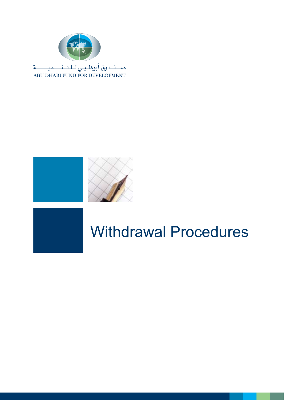



### Withdrawal Procedures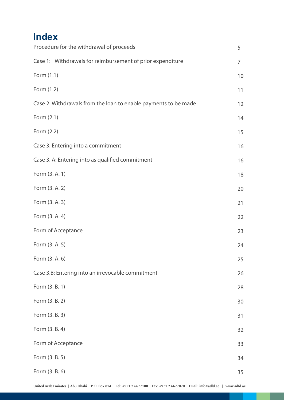#### **Index**

| Procedure for the withdrawal of proceeds                        | 5  |
|-----------------------------------------------------------------|----|
| Case 1: Withdrawals for reimbursement of prior expenditure      | 7  |
| Form (1.1)                                                      | 10 |
| Form (1.2)                                                      | 11 |
| Case 2: Withdrawals from the loan to enable payments to be made | 12 |
| Form (2.1)                                                      | 14 |
| Form (2.2)                                                      | 15 |
| Case 3: Entering into a commitment                              | 16 |
| Case 3. A: Entering into as qualified commitment                | 16 |
| Form (3. A. 1)                                                  | 18 |
| Form (3. A. 2)                                                  | 20 |
| Form (3. A. 3)                                                  | 21 |
| Form (3. A. 4)                                                  | 22 |
| Form of Acceptance                                              | 23 |
| Form (3. A. 5)                                                  | 24 |
| Form (3. A. 6)                                                  | 25 |
| Case 3.B: Entering into an irrevocable commitment               | 26 |
| Form (3. B. 1)                                                  | 28 |
| Form (3. B. 2)                                                  | 30 |
| Form (3. B. 3)                                                  | 31 |
| Form (3. B. 4)                                                  | 32 |
| Form of Acceptance                                              | 33 |
| Form (3. B. 5)                                                  | 34 |
| Form (3. B. 6)                                                  | 35 |

a a s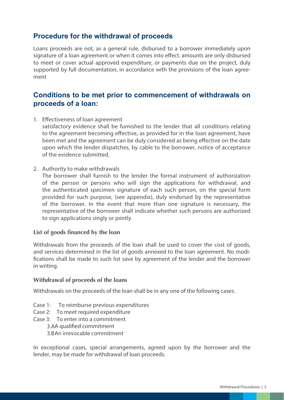#### **Procedure for the withdrawal of proceeds**

Loans proceeds are not, as a general rule, disbursed to a borrower immediately upon signature of a loan agreement or when it comes into effect. amounts are only disbursed to meet or cover actual approved expenditure, or payments due on the project, duly supported by full documentation, in accordance with the provisions of the loan agreement

#### **Conditions to be met prior to commencement of withdrawals on proceeds of a loan:**

1. Effectiveness of loan agreement

 satisfactory evidence shall be furnished to the lender that all conditions relating to the agreement becoming effective, as provided for in the loan agreement, have been met and the agreement can be duly considered as being effective on the date upon which the lender dispatches, by cable to the borrower, notice of acceptance of the evidence submitted.

2. Authority to make withdrawals

 The borrower shall furnish to the lender the formal instrument of authorization of the person or persons who will sign the applications for withdrawal, and the authenticated specimen signature of each such person, on the special form provided for such purpose, (see appendix), duly endorsed by the representative of the borrower. In the event that more than one signature is necessary, the representative of the borrower shall indicate whether such persons are authorized to sign applications singly or jointly.

#### **List of goods financed by the loan**

Withdrawals from the proceeds of the loan shall be used to cover the cost of goods, and services determined in the list of goods annexed to the loan agreement. No modifications shall be made to such list save by agreement of the lender and the borrower in writing.

#### **Withdrawal of proceeds of the loans**

Withdrawals on the proceeds of the loan shall be in any one of the following cases.

- Case 1: To reimburse previous expenditures
- Case 2: To meet required expenditure
- Case 3: To enter into a commitment 3.AA qualified commitment 3.BAn irrevocable commitment

In exceptional cases, special arrangements, agreed upon by the borrower and the lender, may be made for withdrawal of loan proceeds.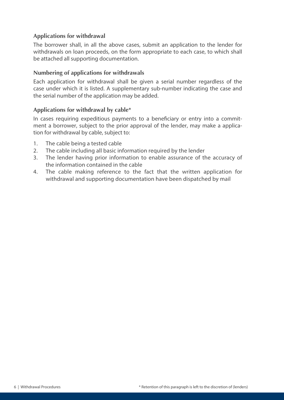#### **Applications for withdrawal**

The borrower shall, in all the above cases, submit an application to the lender for withdrawals on loan proceeds, on the form appropriate to each case, to which shall be attached all supporting documentation.

#### **Numbering of applications for withdrawals**

Each application for withdrawal shall be given a serial number regardless of the case under which it is listed. A supplementary sub-number indicating the case and the serial number of the application may be added.

#### **Applications for withdrawal by cable\***

In cases requiring expeditious payments to a beneficiary or entry into a commitment a borrower, subject to the prior approval of the lender, may make a application for withdrawal by cable, subject to:

- 1. The cable being a tested cable
- 2. The cable including all basic information required by the lender
- 3. The lender having prior information to enable assurance of the accuracy of the information contained in the cable
- 4. The cable making reference to the fact that the written application for withdrawal and supporting documentation have been dispatched by mail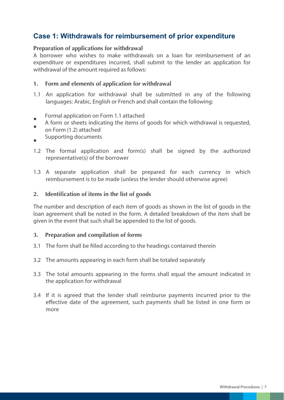#### **Case 1: Withdrawals for reimbursement of prior expenditure**

#### **Preparation of applications for withdrawal**

A borrower who wishes to make withdrawals on a loan for reimbursement of an expenditure or expenditures incurred, shall submit to the lender an application for withdrawal of the amount required as follows:

#### **1. Form and elements of application for withdrawal**

1.1 An application for withdrawal shall be submitted in any of the following languages: Arabic, English or French and shall contain the following:

Formal application on Form 1.1 attached

- A form or sheets indicating the items of goods for which withdrawal is requested, m. on Form (1.2) attached
- Supporting documents

÷.

- 1.2 The formal application and form(s) shall be signed by the authorized representative(s) of the borrower
- 1.3 A separate application shall be prepared for each currency in which reimbursement is to be made (unless the lender should otherwise agree)

#### **2. Identification of items in the list of goods**

The number and description of each item of goods as shown in the list of goods in the loan agreement shall be noted in the form. A detailed breakdown of the item shall be given in the event that such shall be appended to the list of goods.

#### **3. Preparation and compilation of forms**

- 3.1 The form shall be filled according to the headings contained therein
- 3.2 The amounts appearing in each form shall be totaled separately
- 3.3 The total amounts appearing in the forms shall equal the amount indicated in the application for withdrawal
- 3.4 If it is agreed that the lender shall reimburse payments incurred prior to the effective date of the agreement, such payments shall be listed in one form or more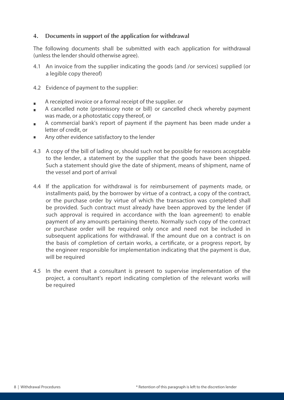#### **4. Documents in support of the application for withdrawal**

The following documents shall be submitted with each application for withdrawal (unless the lender should otherwise agree).

- 4.1 An invoice from the supplier indicating the goods (and /or services) supplied (or a legible copy thereof)
- 4.2 Evidence of payment to the supplier:
- A receipted invoice or a formal receipt of the supplier. or  $\blacksquare$
- A cancelled note (promissory note or bill) or cancelled check whereby payment Ē. was made, or a photostatic copy thereof, or
- A commercial bank's report of payment if the payment has been made under a letter of credit, or
- Any other evidence satisfactory to the lender  $\blacksquare$
- 4.3 A copy of the bill of lading or, should such not be possible for reasons acceptable to the lender, a statement by the supplier that the goods have been shipped. Such a statement should give the date of shipment, means of shipment, name of the vessel and port of arrival
- 4.4 If the application for withdrawal is for reimbursement of payments made, or installments paid, by the borrower by virtue of a contract, a copy of the contract, or the purchase order by virtue of which the transaction was completed shall be provided. Such contract must already have been approved by the lender (if such approval is required in accordance with the loan agreement) to enable payment of any amounts pertaining thereto. Normally such copy of the contract or purchase order will be required only once and need not be included in subsequent applications for withdrawal. If the amount due on a contract is on the basis of completion of certain works, a certificate, or a progress report, by the engineer responsible for implementation indicating that the payment is due, will be required
- 4.5 In the event that a consultant is present to supervise implementation of the project, a consultant's report indicating completion of the relevant works will be required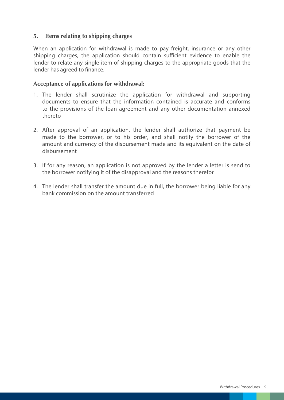#### **5. Items relating to shipping charges**

When an application for withdrawal is made to pay freight, insurance or any other shipping charges, the application should contain sufficient evidence to enable the lender to relate any single item of shipping charges to the appropriate goods that the lender has agreed to finance.

#### **Acceptance of applications for withdrawal:**

- 1. The lender shall scrutinize the application for withdrawal and supporting documents to ensure that the information contained is accurate and conforms to the provisions of the loan agreement and any other documentation annexed thereto
- 2. After approval of an application, the lender shall authorize that payment be made to the borrower, or to his order, and shall notify the borrower of the amount and currency of the disbursement made and its equivalent on the date of disbursement
- 3. If for any reason, an application is not approved by the lender a letter is send to the borrower notifying it of the disapproval and the reasons therefor
- 4. The lender shall transfer the amount due in full, the borrower being liable for any bank commission on the amount transferred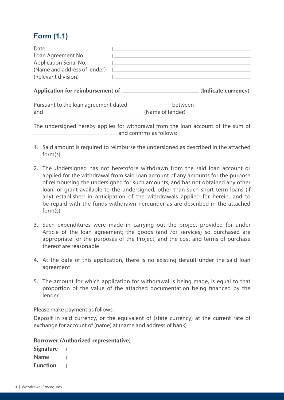#### **Form (1.1)**

| Date                                         |                     |
|----------------------------------------------|---------------------|
| Loan Agreement No.<br>Application Serial No. |                     |
| (Name and address of lender)                 |                     |
| (Relevant division)                          |                     |
| Application for reimbursement of             | (Indicate currency) |

| Pursuant to the loan agreement dated | between          |
|--------------------------------------|------------------|
| and                                  | (Name of lender) |

The undersigned hereby applies for withdrawal from the loan account of the sum of and confirms as follows:

- 1. Said amount is required to reimburse the undersigned as described in the attached form(s)
- 2. The Undersigned has not heretofore withdrawn from the said loan account or applied for the withdrawal from said loan account of any amounts for the purpose of reimbursing the undersigned for such amounts, and has not obtained any other loan, or grant available to the undersigned, other than such short term loans (if any) established in anticipation of the withdrawals applied for herein, and to be repaid with the funds withdrawn hereunder as are described in the attached form(s)
- 3. Such expenditures were made in carrying out the project provided for under Article of the loan agreement; the goods (and /or services) so purchased are appropriate for the purposes of the Project, and the cost and terms of purchase thereof are reasonable
- 4. At the date of this application, there is no existing default under the said loan agreement
- 5. The amount for which application for withdrawal is being made, is equal to that proportion of the value of the attached documentation being financed by the lender

Please make payment as follows:

Deposit in said currency, or the equivalent of (state currency) at the current rate of exchange for account of (name) at (name and address of bank)

**Borrower (Authorized representative)**

**Signature**   $\mathbf{I}$ **Name**   $\mathbf{I}$ **Function**   $\sim$  1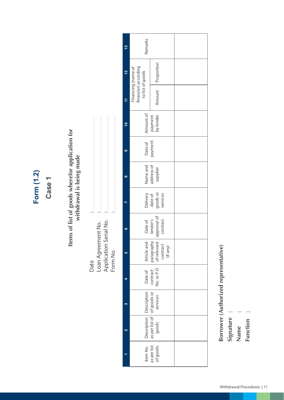Form (1.2) **Form (1.2)**

**Case 1**

## Items of list of goods wherefor application for **Items of list of goods wherefor application for**  withdrawal is being made **withdrawal is being made**

Application Serial No.<br>Form No. Loan Agreement No. Application Serial No. Loan Agreement No. Form No. Date

| ٣,        | Remarks                                                                                                      |                                                     |  |
|-----------|--------------------------------------------------------------------------------------------------------------|-----------------------------------------------------|--|
| <u>يہ</u> | financier) according<br>Financing (name of<br>to list of goods                                               | Proportion                                          |  |
| ٣         |                                                                                                              | Amount                                              |  |
|           | payment<br>by lender<br>Amount of                                                                            |                                                     |  |
| O)        | Date of<br>payment                                                                                           |                                                     |  |
| œ         | Name and<br>address of                                                                                       | supplier                                            |  |
|           | Delivery                                                                                                     | goods or<br>date of<br>services                     |  |
| G         | Date of<br>lender's                                                                                          | approval of<br>contract                             |  |
| LC)       | Article and                                                                                                  | paragraphy<br>of relevant a<br>contract<br>(if any) |  |
|           | Date of                                                                                                      | No. or P.O<br>contract                              |  |
| m         |                                                                                                              |                                                     |  |
|           |                                                                                                              |                                                     |  |
|           | Item No.   Description   Description<br>as per list   as per list of goods or<br>of goods   goods   services |                                                     |  |
|           |                                                                                                              |                                                     |  |

**Borrower (Authorized representative)**<br>
Signature |<br>
Name |<br>
Function |<br>
Function | 11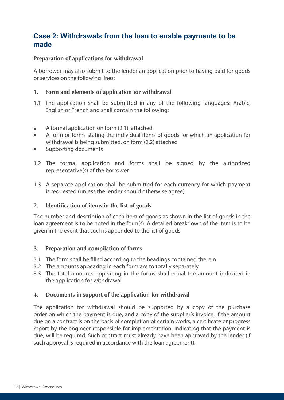#### **Case 2: Withdrawals from the loan to enable payments to be made**

#### **Preparation of applications for withdrawal**

A borrower may also submit to the lender an application prior to having paid for goods or services on the following lines:

#### **1. Form and elements of application for withdrawal**

- 1.1 The application shall be submitted in any of the following languages: Arabic, English or French and shall contain the following:
- A formal application on form (2.1), attached  $\blacksquare$
- A form or forms stating the individual items of goods for which an application for withdrawal is being submitted, on form (2.2) attached
- Supporting documents
- 1.2 The formal application and forms shall be signed by the authorized representative(s) of the borrower
- 1.3 A separate application shall be submitted for each currency for which payment is requested (unless the lender should otherwise agree)

#### **2. Identification of items in the list of goods**

The number and description of each item of goods as shown in the list of goods in the loan agreement is to be noted in the form(s). A detailed breakdown of the item is to be given in the event that such is appended to the list of goods.

#### **3. Preparation and compilation of forms**

- 3.1 The form shall be filled according to the headings contained therein
- 3.2 The amounts appearing in each form are to totally separately
- 3.3 The total amounts appearing in the forms shall equal the amount indicated in the application for withdrawal

#### **4. Documents in support of the application for withdrawal**

The application for withdrawal should be supported by a copy of the purchase order on which the payment is due, and a copy of the supplier's invoice. If the amount due on a contract is on the basis of completion of certain works, a certificate or progress report by the engineer responsible for implementation, indicating that the payment is due, will be required. Such contract must already have been approved by the lender (if such approval is required in accordance with the loan agreement).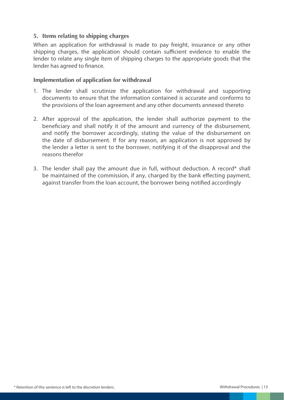#### **5. Items relating to shipping charges**

When an application for withdrawal is made to pay freight, insurance or any other shipping charges, the application should contain sufficient evidence to enable the lender to relate any single item of shipping charges to the appropriate goods that the lender has agreed to finance.

#### **Implementation of application for withdrawal**

- 1. The lender shall scrutinize the application for withdrawal and supporting documents to ensure that the information contained is accurate and conforms to the provisions of the loan agreement and any other documents annexed thereto
- 2. After approval of the application, the lender shall authorize payment to the beneficiary and shall notify it of the amount and currency of the disbursement, and notify the borrower accordingly, stating the value of the disbursement on the date of disbursement. If for any reason, an application is not approved by the lender a letter is sent to the borrower, notifying it of the disapproval and the reasons therefor
- 3. The lender shall pay the amount due in full, without deduction. A record\* shall be maintained of the commission, if any, charged by the bank effecting payment, against transfer from the loan account, the borrower being notified accordingly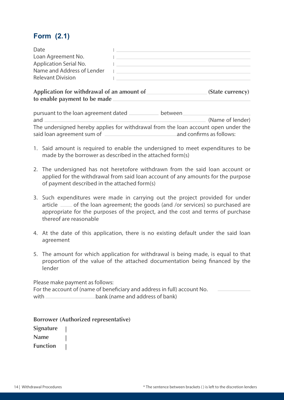#### **Form (2.1)**

| Date                       |  |
|----------------------------|--|
| Loan Agreement No.         |  |
| Application Serial No.     |  |
| Name and Address of Lender |  |
| <b>Relevant Division</b>   |  |
|                            |  |

Application for withdrawal of an amount of *COD* (State currency) **to enable payment to be made** 

| pursuant to the loan agreement dated.                                              | between                  |  |
|------------------------------------------------------------------------------------|--------------------------|--|
| and                                                                                | (Name of lender)         |  |
| The undersigned hereby applies for withdrawal from the loan account open under the |                          |  |
| said loan agreement sum of                                                         | and confirms as follows: |  |

- 1. Said amount is required to enable the undersigned to meet expenditures to be made by the borrower as described in the attached form(s)
- 2. The undersigned has not heretofore withdrawn from the said loan account or applied for the withdrawal from said loan account of any amounts for the purpose of payment described in the attached form(s)
- 3. Such expenditures were made in carrying out the project provided for under article <sub>of</sub> the loan agreement; the goods (and /or services) so purchased are appropriate for the purposes of the project, and the cost and terms of purchase thereof are reasonable
- 4. At the date of this application, there is no existing default under the said loan agreement
- 5. The amount for which application for withdrawal is being made, is equal to that proportion of the value of the attached documentation being financed by the lender

Please make payment as follows: For the account of (name of beneficiary and address in full) account No. with bank (name and address of bank)

**Borrower (Authorized representative)**

**Signature Name Function | | |**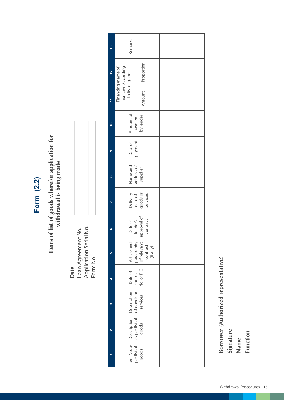## Form (2.2) **Form (2.2)**

# Items of list of goods wherefor application for<br>withdrawal is being made **Items of list of goods wherefor application for withdrawal is being made**

| ate                    |  |
|------------------------|--|
| Loan Agreement No.     |  |
| Application Serial No. |  |
| Form No.               |  |

| $\mathbf{c}$ | Remarks                                                                                                               |                      |  |
|--------------|-----------------------------------------------------------------------------------------------------------------------|----------------------|--|
| 얻            | financier) according<br>Financing (name of<br>to list of goods                                                        | Proportion           |  |
| F            |                                                                                                                       | Amount               |  |
|              | Amount of<br>payment<br>by lender                                                                                     |                      |  |
|              | payment<br>Date of                                                                                                    |                      |  |
|              | Name and<br>address of<br>supplier                                                                                    |                      |  |
|              | Delivery<br>date of                                                                                                   | goods or<br>services |  |
| ۵Ó           | approval of<br>contract<br>lender's<br>Date of                                                                        |                      |  |
| S            | paragraphy<br>of relevant a<br>Article and<br>contract<br>(if any)                                                    |                      |  |
|              | No. or P.O<br>Date of<br>contract                                                                                     |                      |  |
|              | Item No. as   Description   Description<br>  per list of   as per list of   of goods or<br>  goods   goods   services |                      |  |
|              |                                                                                                                       |                      |  |
|              |                                                                                                                       |                      |  |

Borrower (Authorized representative) **Borrower (Authorized representative)**

**Signature** 

**Name** 

**Function Function**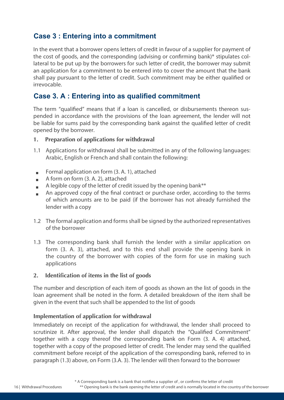#### **Case 3 : Entering into a commitment**

In the event that a borrower opens letters of credit in favour of a supplier for payment of the cost of goods, and the corresponding (advising or confirming bank)\* stipulates collateral to be put up by the borrowers for such letter of credit, the borrower may submit an application for a commitment to be entered into to cover the amount that the bank shall pay pursuant to the letter of credit. Such commitment may be either qualified or irrevocable.

#### **Case 3. A : Entering into as qualified commitment**

The term "qualified" means that if a loan is cancelled, or disbursements thereon suspended in accordance with the provisions of the loan agreement, the lender will not be liable for sums paid by the corresponding bank against the qualified letter of credit opened by the borrower.

#### **1. Preparation of applications for withdrawal**

- 1.1 Applications for withdrawal shall be submitted in any of the following languages: Arabic, English or French and shall contain the following:
- Formal application on form (3. A. 1), attached  $\blacksquare$
- A form on form (3. A. 2), attached  $\sim$
- A legible copy of the letter of credit issued by the opening bank\*\*
- An approved copy of the final contract or purchase order, according to the terms Ē. of which amounts are to be paid (if the borrower has not already furnished the lender with a copy
- 1.2 The formal application and forms shall be signed by the authorized representatives of the borrower
- 1.3 The corresponding bank shall furnish the lender with a similar application on form (3. A. 3), attached, and to this end shall provide the opening bank in the country of the borrower with copies of the form for use in making such applications

#### **2. Identification of items in the list of goods**

The number and description of each item of goods as shown an the list of goods in the loan agreement shall be noted in the form. A detailed breakdown of the item shall be given in the event that such shall be appended to the list of goods

#### **Implementation of application for withdrawal**

Immediately on receipt of the application for withdrawal, the lender shall proceed to scrutinize it. After approval, the lender shall dispatch the "Qualified Commitment" together with a copy thereof the corresponding bank on Form (3. A. 4) attached, together with a copy of the proposed letter of credit. The lender may send the qualified commitment before receipt of the application of the corresponding bank, referred to in paragraph (1.3) above, on Form (3.A. 3). The lender will then forward to the borrower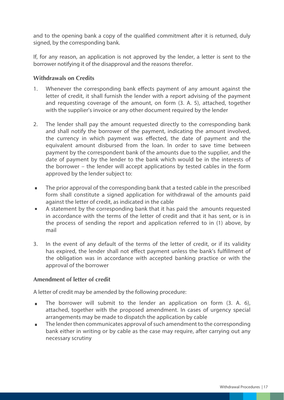and to the opening bank a copy of the qualified commitment after it is returned, duly signed, by the corresponding bank.

If, for any reason, an application is not approved by the lender, a letter is sent to the borrower notifying it of the disapproval and the reasons therefor.

#### **Withdrawals on Credits**

- 1. Whenever the corresponding bank effects payment of any amount against the letter of credit, it shall furnish the lender with a report advising of the payment and requesting coverage of the amount, on form (3. A. 5), attached, together with the supplier's invoice or any other document required by the lender
- 2. The lender shall pay the amount requested directly to the corresponding bank and shall notify the borrower of the payment, indicating the amount involved, the currency in which payment was effected, the date of payment and the equivalent amount disbursed from the loan. In order to save time between payment by the correspondent bank of the amounts due to the supplier, and the date of payment by the lender to the bank which would be in the interests of the borrower – the lender will accept applications by tested cables in the form approved by the lender subject to:
- **The prior approval of the corresponding bank that a tested cable in the prescribed** form shall constitute a signed application for withdrawal of the amounts paid against the letter of credit, as indicated in the cable
- A statement by the corresponding bank that it has paid the amounts requested in accordance with the terms of the letter of credit and that it has sent, or is in the process of sending the report and application referred to in (1) above, by mail
- 3. In the event of any default of the terms of the letter of credit, or if its validity has expired, the lender shall not effect payment unless the bank's fulfillment of the obligation was in accordance with accepted banking practice or with the approval of the borrower

#### **Amendment of letter of credit**

A letter of credit may be amended by the following procedure:

- The borrower will submit to the lender an application on form  $(3, A, 6)$ , attached, together with the proposed amendment. In cases of urgency special arrangements may be made to dispatch the application by cable
- **The lender then communicates approval of such amendment to the corresponding** bank either in writing or by cable as the case may require, after carrying out any necessary scrutiny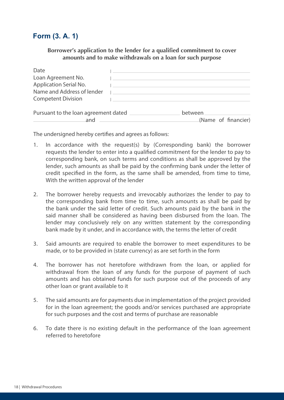#### **Form (3. A. 1)**

#### **Borrower's application to the lender for a qualified commitment to cover amounts and to make withdrawals on a loan for such purpose**

| Date<br>Loan Agreement No.<br>Application Serial No.<br>Name and Address of lender<br><b>Competent Division</b> |                                                                                           |                                |  |
|-----------------------------------------------------------------------------------------------------------------|-------------------------------------------------------------------------------------------|--------------------------------|--|
| Pursuant to the loan agreement dated<br>and                                                                     | the control of the control of the control of the control of the control of the control of | between<br>(Name of financier) |  |

The undersigned hereby certifies and agrees as follows:

- 1. In accordance with the request(s) by (Corresponding bank) the borrower requests the lender to enter into a qualified commitment for the lender to pay to corresponding bank, on such terms and conditions as shall be approved by the lender, such amounts as shall be paid by the confirming bank under the letter of credit specified in the form, as the same shall be amended, from time to time, With the written approval of the lender
- 2. The borrower hereby requests and irrevocably authorizes the lender to pay to the corresponding bank from time to time, such amounts as shall be paid by the bank under the said letter of credit. Such amounts paid by the bank in the said manner shall be considered as having been disbursed from the loan. The lender may conclusively rely on any written statement by the corresponding bank made by it under, and in accordance with, the terms the letter of credit
- 3. Said amounts are required to enable the borrower to meet expenditures to be made, or to be provided in (state currency) as are set forth in the form
- 4. The borrower has not heretofore withdrawn from the loan, or applied for withdrawal from the loan of any funds for the purpose of payment of such amounts and has obtained funds for such purpose out of the proceeds of any other loan or grant available to it
- 5. The said amounts are for payments due in implementation of the project provided for in the loan agreement; the goods and/or services purchased are appropriate for such purposes and the cost and terms of purchase are reasonable
- 6. To date there is no existing default in the performance of the loan agreement referred to heretofore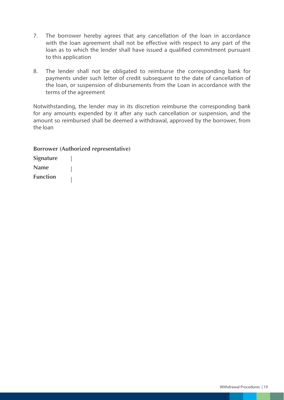- 7. The borrower hereby agrees that any cancellation of the loan in accordance with the loan agreement shall not be effective with respect to any part of the loan as to which the lender shall have issued a qualified commitment pursuant to this application
- 8. The lender shall not be obligated to reimburse the corresponding bank for payments under such letter of credit subsequent to the date of cancellation of the loan, or suspension of disbursements from the Loan in accordance with the terms of the agreement

Notwithstanding, the lender may in its discretion reimburse the corresponding bank for any amounts expended by it after any such cancellation or suspension, and the amount so reimbursed shall be deemed a withdrawal, approved by the borrower, from the loan

**Borrower (Authorized representative)**

**Signature Name Function**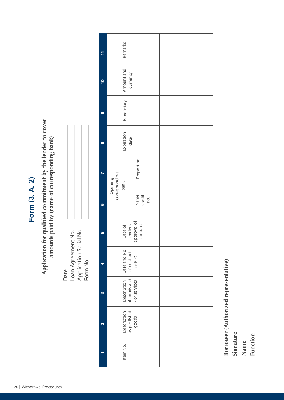Form (3. A. 2) **Form (3. A. 2)**

Application for qualified commitment by the lender to cover **Application for qualified commitment by the lender to cover**  amounts paid by (name of corresponding bank) **amounts paid by (name of corresponding bank)**

| Date                   |  |
|------------------------|--|
| Loan Agreement No.     |  |
| Application Serial No. |  |
| Form No.               |  |

| F                       | Remarks                                        |                       |  |
|-------------------------|------------------------------------------------|-----------------------|--|
| <u>۽</u>                | Amount and<br>currency                         |                       |  |
| တ                       | Beneficiary                                    |                       |  |
| $\infty$                | Expiration<br>date                             |                       |  |
|                         | Opening<br>corresponding<br>bank               | Proportion            |  |
| ဖ                       |                                                | Name<br>credit<br>no. |  |
| 5                       | Date of<br>Lender's<br>approval of<br>contract |                       |  |
|                         | Date and No<br>of contract<br>or P. O          |                       |  |
| က                       | Description<br>of goods and<br>/ or services   |                       |  |
| $\overline{\mathbf{c}}$ | Description<br>as per list of<br>goods         |                       |  |
|                         | Item No.                                       |                       |  |

Borrower (Authorized representative) **Borrower (Authorized representative)**

**Signature** 

**Name** 

Function **Function**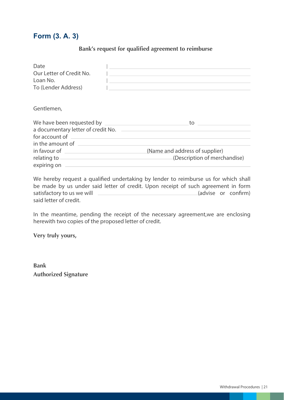#### **Form (3. A. 3)**

#### **Bank's request for qualified agreement to reimburse**

| Date<br>Our Letter of Credit No.<br>Loan No.<br>To (Lender Address) |                                                                |
|---------------------------------------------------------------------|----------------------------------------------------------------|
| Gentlemen,                                                          |                                                                |
| a documentary letter of credit No. _______<br>for account of        | to                                                             |
| expiring on                                                         | (Name and address of supplier)<br>(Description of merchandise) |

We hereby request a qualified undertaking by lender to reimburse us for which shall be made by us under said letter of credit. Upon receipt of such agreement in form satisfactory to us we will  $\qquad \qquad$  (advise or confirm) said letter of credit.

In the meantime, pending the receipt of the necessary agreement,we are enclosing herewith two copies of the proposed letter of credit.

**Very truly yours,**

**Bank Authorized Signature**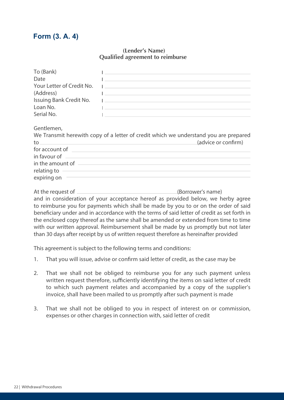#### **Form (3. A. 4)**

#### **Qualified agreement to reimburse (Lender's Name)**

| To (Bank)               |                                                                                                                        |
|-------------------------|------------------------------------------------------------------------------------------------------------------------|
| Date                    | <u> La componenta de la componenta de la componenta de la componenta de la componenta de la componenta de la compo</u> |
|                         |                                                                                                                        |
| (Address)               | the control of the control of the control of the control of the control of the control of                              |
| Issuing Bank Credit No. |                                                                                                                        |
| Loan No.                | <u> La componente de la componente de la componente de la componente de la componente de la componente de la compo</u> |
| Serial No.              | the contract of the contract of the contract of the contract of the contract of                                        |
| Gentlemen,              |                                                                                                                        |
|                         | We Transmit herewith copy of a letter of credit which we understand you are prepared                                   |
|                         | (advice or confirm)<br>$\mathsf{to}$                                                                                   |
|                         | for account of <u>contract the contract of the contract of the contract of the contract of</u>                         |
|                         |                                                                                                                        |
|                         |                                                                                                                        |

in the amount of relating to expiring on

At the request of (Borrower's name) and in consideration of your acceptance hereof as provided below, we herby agree to reimburse you for payments which shall be made by you to or on the order of said beneficiary under and in accordance with the terms of said letter of credit as set forth in the enclosed copy thereof as the same shall be amended or extended from time to time with our written approval. Reimbursement shall be made by us promptly but not later than 30 days after receipt by us of written request therefore as hereinafter provided

This agreement is subject to the following terms and conditions:

- 1. That you will issue, advise or confirm said letter of credit, as the case may be
- 2. That we shall not be obliged to reimburse you for any such payment unless written request therefore, sufficiently identifying the items on said letter of credit to which such payment relates and accompanied by a copy of the supplier's invoice, shall have been mailed to us promptly after such payment is made
- 3. That we shall not be obliged to you in respect of interest on or commission, expenses or other charges in connection with, said letter of credit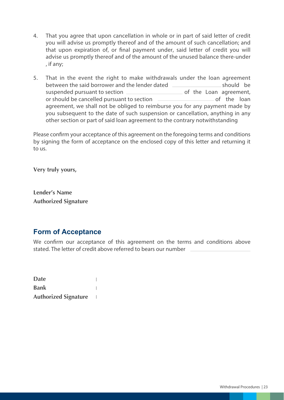- 4. That you agree that upon cancellation in whole or in part of said letter of credit you will advise us promptly thereof and of the amount of such cancellation; and that upon expiration of, or final payment under, said letter of credit you will advise us promptly thereof and of the amount of the unused balance there-under , if any;
- 5. That in the event the right to make withdrawals under the loan agreement between the said borrower and the lender dated should be suspended pursuant to section **contained** of the Loan agreement, or should be cancelled pursuant to section **contained** in the loan agreement, we shall not be obliged to reimburse you for any payment made by you subsequent to the date of such suspension or cancellation, anything in any other section or part of said loan agreement to the contrary notwithstanding

Please confirm your acceptance of this agreement on the foregoing terms and conditions by signing the form of acceptance on the enclosed copy of this letter and returning it to us.

**Very truly yours,**

**Lender's Name Authorized Signature**

#### **Form of Acceptance**

We confirm our acceptance of this agreement on the terms and conditions above stated. The letter of credit above referred to bears our number

**Date**   $\overline{1}$ **Bank**   $\overline{1}$ **Authorized Signature**   $\blacksquare$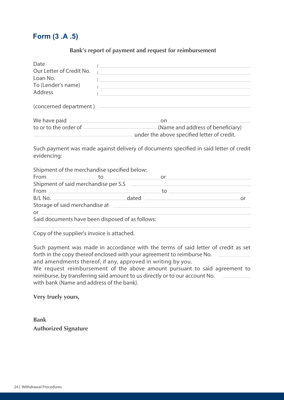#### **Form (3 .A .5)**

#### **Bank's report of payment and request for reimbursement**

| Date                                             | <u> La componenta de la componenta de la componenta de la componenta de la componenta de la componenta de la compo</u> |  |
|--------------------------------------------------|------------------------------------------------------------------------------------------------------------------------|--|
| Our Letter of Credit No.                         | <u> La componente de la componente de la componente de la componente de la componente de la componente de la compo</u> |  |
| Loan No.                                         | and the control of the control of the control of the control of the control of the control of the control of the       |  |
| To (Lender's name)                               | <u> 1980 - Johann Barn, amerikansk politiker (d. 1980)</u>                                                             |  |
| Address                                          |                                                                                                                        |  |
|                                                  |                                                                                                                        |  |
|                                                  |                                                                                                                        |  |
|                                                  | to or to the order of (Name and address of beneficiary)<br>ander the above specified letter of credit.                 |  |
| evidencing:                                      | Such payment was made against delivery of documents specified in said letter of credit                                 |  |
| Shipment of the merchandise specified below:     |                                                                                                                        |  |
|                                                  | $From \begin{tabular}{c} 2.5cm \end{tabular}$                                                                          |  |
| Shipment of said merchandise per S.S             | <u> 1980 - Johann Barbara, martxa al</u>                                                                               |  |
|                                                  |                                                                                                                        |  |
|                                                  | B/L No. 2008 and 2008 and 2008 and 2008 and 2008 and 2008 and 2008 and 2008 and 2008 and 2008 and 2008 and 200         |  |
|                                                  |                                                                                                                        |  |
| $or \t\t or$                                     |                                                                                                                        |  |
| Said documents have been disposed of as follows: |                                                                                                                        |  |
|                                                  |                                                                                                                        |  |

Copy of the supplier's invoice is attached.

Such payment was made in accordance with the terms of said letter of credit as set forth in the copy thereof enclosed with your agreement to reimburse No.

and amendments thereof, if any, approved in writing by you.

We request reimbursement of the above amount pursuant to said agreement to reimburse, by transferring said amount to us directly or to our account No. with bank (Name and address of the bank).

**Very truely yours,**

**Bank Authorized Signature**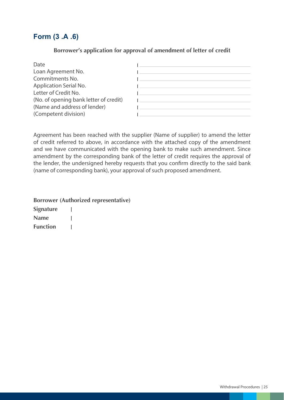#### **Form (3 .A .6)**

#### **Borrower's application for approval of amendment of letter of credit**

| Date                                   |  |
|----------------------------------------|--|
| Loan Agreement No.                     |  |
| Commitments No.                        |  |
| Application Serial No.                 |  |
| Letter of Credit No.                   |  |
| (No. of opening bank letter of credit) |  |
| (Name and address of lender)           |  |
| (Competent division)                   |  |

Agreement has been reached with the supplier (Name of supplier) to amend the letter of credit referred to above, in accordance with the attached copy of the amendment and we have communicated with the opening bank to make such amendment. Since amendment by the corresponding bank of the letter of credit requires the approval of the lender, the undersigned hereby requests that you confirm directly to the said bank (name of corresponding bank), your approval of such proposed amendment.

|                  | <b>Borrower (Authorized representative)</b> |
|------------------|---------------------------------------------|
| <b>Signature</b> |                                             |
| <b>Name</b>      |                                             |
| <b>Function</b>  |                                             |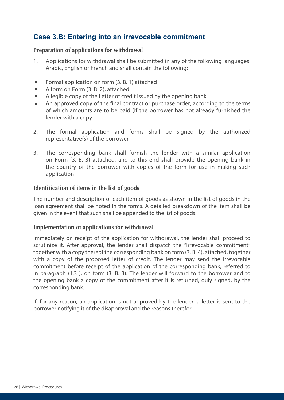#### **Case 3.B: Entering into an irrevocable commitment**

#### **Preparation of applications for withdrawal**

- 1. Applications for withdrawal shall be submitted in any of the following languages: Arabic, English or French and shall contain the following:
- Formal application on form (3. B. 1) attached m.
- A form on Form (3. B. 2), attached  $\blacksquare$
- A legible copy of the Letter of credit issued by the opening bank  $\blacksquare$
- An approved copy of the final contract or purchase order, according to the terms of which amounts are to be paid (if the borrower has not already furnished the lender with a copy
- 2. The formal application and forms shall be signed by the authorized representative(s) of the borrower
- 3. The corresponding bank shall furnish the lender with a similar application on Form (3. B. 3) attached, and to this end shall provide the opening bank in the country of the borrower with copies of the form for use in making such application

#### **Identification of items in the list of goods**

The number and description of each item of goods as shown in the list of goods in the loan agreement shall be noted in the forms. A detailed breakdown of the item shall be given in the event that such shall be appended to the list of goods.

#### **Implementation of applications for withdrawal**

Immediately on receipt of the application for withdrawal, the lender shall proceed to scrutinize it. After approval, the lender shall dispatch the "Irrevocable commitment" together with a copy thereof the corresponding bank on form (3. B. 4), attached, together with a copy of the proposed letter of credit. The lender may send the Irrevocable commitment before receipt of the application of the corresponding bank, referred to in paragraph (1.3 ), on form (3. B. 3). The lender will forward to the borrower and to the opening bank a copy of the commitment after it is returned, duly signed, by the corresponding bank.

If, for any reason, an application is not approved by the lender, a letter is sent to the borrower notifying it of the disapproval and the reasons therefor.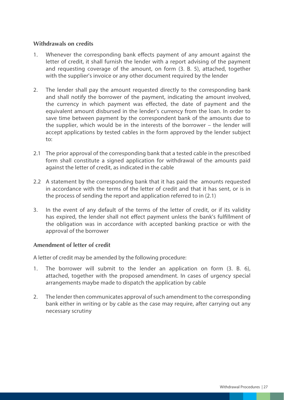#### **Withdrawals on credits**

- 1. Whenever the corresponding bank effects payment of any amount against the letter of credit, it shall furnish the lender with a report advising of the payment and requesting coverage of the amount, on form (3. B. 5), attached, together with the supplier's invoice or any other document required by the lender
- 2. The lender shall pay the amount requested directly to the corresponding bank and shall notify the borrower of the payment, indicating the amount involved, the currency in which payment was effected, the date of payment and the equivalent amount disbursed in the lender's currency from the loan. In order to save time between payment by the correspondent bank of the amounts due to the supplier, which would be in the interests of the borrower – the lender will accept applications by tested cables in the form approved by the lender subject to:
- 2.1 The prior approval of the corresponding bank that a tested cable in the prescribed form shall constitute a signed application for withdrawal of the amounts paid against the letter of credit, as indicated in the cable
- 2.2 A statement by the corresponding bank that it has paid the amounts requested in accordance with the terms of the letter of credit and that it has sent, or is in the process of sending the report and application referred to in (2.1)
- 3. In the event of any default of the terms of the letter of credit, or if its validity has expired, the lender shall not effect payment unless the bank's fulfillment of the obligation was in accordance with accepted banking practice or with the approval of the borrower

#### **Amendment of letter of credit**

A letter of credit may be amended by the following procedure:

- 1. The borrower will submit to the lender an application on form (3. B. 6), attached, together with the proposed amendment. In cases of urgency special arrangements maybe made to dispatch the application by cable
- 2. The lender then communicates approval of such amendment to the corresponding bank either in writing or by cable as the case may require, after carrying out any necessary scrutiny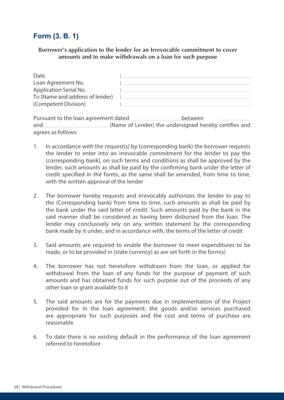#### **Form (3. B. 1)**

**Borrower's application to the lender for an Irrevocable commitment to cover amounts and to make withdrawals on a loan for such purpose**

| Date                            |  |
|---------------------------------|--|
| Loan Agreement No.              |  |
| Application Serial No.          |  |
| To (Name and address of lender) |  |
| (Competent Division)            |  |

| Pursuant to the loan agreement dated |                                                       | between |  |  |
|--------------------------------------|-------------------------------------------------------|---------|--|--|
| and                                  | (Name of Lender) the undersigned hereby certifies and |         |  |  |
| agrees as follows:                   |                                                       |         |  |  |

- 1. In accordance with the request(s) by (corresponding bank) the borrower requests the lender to enter into an irrevocable commitment for the lender to pay the (corresponding bank), on such terms and conditions as shall be approved by the lender, such amounts as shall be paid by the confirming bank under the letter of credit specified in the forms, as the same shall be amended, from time to time, with the written approval of the lender
- 2. The borrower hereby requests and irrevocably authorizes the lender to pay to the (Corresponding bank) from time to time, such amounts as shall be paid by the bank under the said letter of credit. Such amounts paid by the bank in the said manner shall be considered as having been disbursed from the loan. The lender may conclusively rely on any written statement by the corresponding bank made by it under, and in accordance with, the terms of the letter of credit
- 3. Said amounts are required to enable the borrower to meet expenditures to be made, or to be provided in (state currency) as are set forth in the form(s)
- 4. The borrower has not heretofore withdrawn from the loan, or applied for withdrawal from the loan of any funds for the purpose of payment of such amounts and has obtained funds for such purpose out of the proceeds of any other loan or grant available to it
- 5. The said amounts are for the payments due in implementation of the Project provided for in the loan agreement; the goods and/or services purchased are appropriate for such purposes and the cost and terms of purchase are reasonable
- 6. To date there is no existing default in the performance of the loan agreement referred to heretofore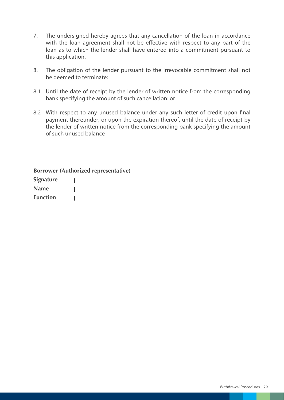- 7. The undersigned hereby agrees that any cancellation of the loan in accordance with the loan agreement shall not be effective with respect to any part of the loan as to which the lender shall have entered into a commitment pursuant to this application.
- 8. The obligation of the lender pursuant to the Irrevocable commitment shall not be deemed to terminate:
- 8.1 Until the date of receipt by the lender of written notice from the corresponding bank specifying the amount of such cancellation: or
- 8.2 With respect to any unused balance under any such letter of credit upon final payment thereunder, or upon the expiration thereof, until the date of receipt by the lender of written notice from the corresponding bank specifying the amount of such unused balance

**Borrower (Authorized representative) Signature**  L **Name**  Ī **Function**   $\mathbf{I}$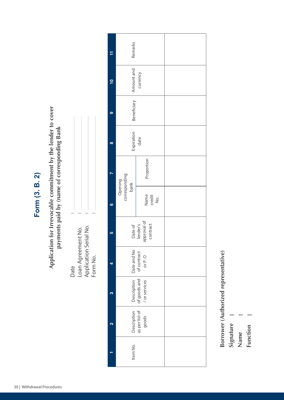Form (3. B. 2) **Form (3. B. 2)** Application for Irrevocable commitment by the lender to cover **Application for Irrevocable commitment by the lender to cover**  payments paid by (name of corresponding Bank **payments paid by (name of corresponding Bank**

| Date | Loan Agreement No. | Application Serial No. | Form No. |
|------|--------------------|------------------------|----------|

|    | Remarks                                                                    |                       |  |
|----|----------------------------------------------------------------------------|-----------------------|--|
| ₽  | Amount and<br>currency                                                     |                       |  |
|    | Beneficiary                                                                |                       |  |
| œ  | Expiration<br>date                                                         |                       |  |
|    |                                                                            | Proportion            |  |
| ဖ  | Opening<br>corresponding<br>bank                                           | Name<br>credit<br>No. |  |
| 10 | approval of<br>Date of<br>lender's<br>contract                             |                       |  |
|    | Date and No<br>of contract<br>or P.O                                       |                       |  |
| m  | Description Description<br>as per list of goods and<br>goods / or services |                       |  |
|    |                                                                            |                       |  |
|    | Item No.                                                                   |                       |  |

Borrower (Authorized representative) **Borrower (Authorized representative)**

**Signature** 

Function **Function Name**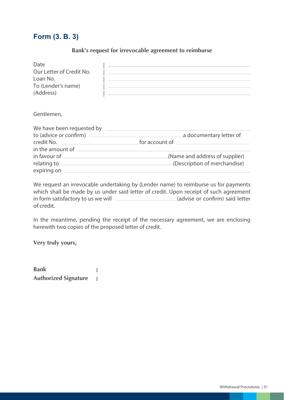#### **Form (3. B. 3)**

#### **Bank's request for irrevocable agreement to reimburse**

| Date<br>Our Letter of Credit No.<br>Loan No.<br>To (Lender's name)<br>(Address)                                 | <u> Andreas Andreas Andreas Andreas Andreas Andreas Andreas Andreas Andreas Andreas Andreas Andreas Andreas Andr</u> |
|-----------------------------------------------------------------------------------------------------------------|----------------------------------------------------------------------------------------------------------------------|
| Gentlemen.                                                                                                      |                                                                                                                      |
|                                                                                                                 |                                                                                                                      |
| credit No.                                                                                                      | a documentary letter of                                                                                              |
| in the amount of the state of the state of the state of the state of the state of the state of the state of the |                                                                                                                      |
|                                                                                                                 | (Name and address of supplier)                                                                                       |
| relating to                                                                                                     | (Description of merchandise)                                                                                         |

We request an irrevocable undertaking by (Lender name) to reimburse us for payments which shall be made by us under said letter of credit. Upon receipt of such agreement in form satisfactory to us we will \_\_\_\_\_\_\_\_\_\_\_\_\_\_\_\_\_\_\_\_\_\_ (advise or confirm) said letter of credit.

In the meantime, pending the receipt of the necessary agreement, we are enclosing herewith two copies of the proposed letter of credit.

**Very truly yours,**

expiring on

**Bank**  $\overline{\phantom{a}}$ **Authorized Signature**  $\overline{\phantom{a}}$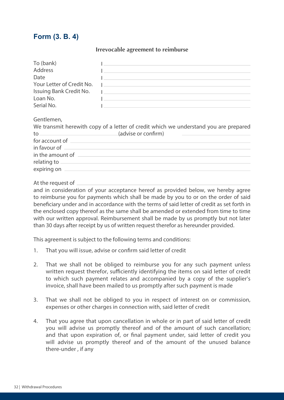#### **Form (3. B. 4)**

#### **Irrevocable agreement to reimburse**

| To (bank)                 |                                                |
|---------------------------|------------------------------------------------|
| Address                   |                                                |
| Date                      |                                                |
| Your Letter of Credit No. | the company of the company of the company of   |
| Issuing Bank Credit No.   | <u> 1989 - Jan Sterling Sterling (d. 1989)</u> |
| Loan No.                  |                                                |
| Serial No.                |                                                |

Gentlemen,

|                  | We transmit herewith copy of a letter of credit which we understand you are prepared |  |
|------------------|--------------------------------------------------------------------------------------|--|
| to.              | (advise or confirm)                                                                  |  |
| for account of   |                                                                                      |  |
| in favour of -   |                                                                                      |  |
| in the amount of |                                                                                      |  |
| relating to -    |                                                                                      |  |
| expiring on      |                                                                                      |  |
|                  |                                                                                      |  |

At the request of

and in consideration of your acceptance hereof as provided below, we hereby agree to reimburse you for payments which shall be made by you to or on the order of said beneficiary under and in accordance with the terms of said letter of credit as set forth in the enclosed copy thereof as the same shall be amended or extended from time to time with our written approval. Reimbursement shall be made by us promptly but not later than 30 days after receipt by us of written request therefor as hereunder provided.

This agreement is subject to the following terms and conditions:

- 1. That you will issue, advise or confirm said letter of credit
- 2. That we shall not be obliged to reimburse you for any such payment unless written request therefor, sufficiently identifying the items on said letter of credit to which such payment relates and accompanied by a copy of the supplier's invoice, shall have been mailed to us promptly after such payment is made
- 3. That we shall not be obliged to you in respect of interest on or commission, expenses or other charges in connection with, said letter of credit
- 4. That you agree that upon cancellation in whole or in part of said letter of credit you will advise us promptly thereof and of the amount of such cancellation; and that upon expiration of, or final payment under, said letter of credit you will advise us promptly thereof and of the amount of the unused balance there-under , if any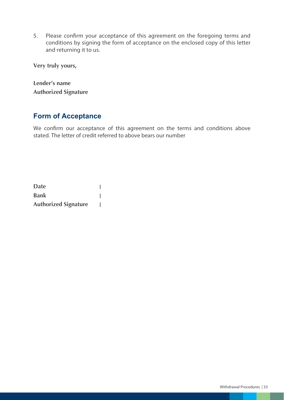5. Please confirm your acceptance of this agreement on the foregoing terms and conditions by signing the form of acceptance on the enclosed copy of this letter and returning it to us.

**Very truly yours,**

**Lender's name Authorized Signature**

#### **Form of Acceptance**

We confirm our acceptance of this agreement on the terms and conditions above stated. The letter of credit referred to above bears our number

**Date**   $\mathbf{I}$ **Bank**   $\overline{1}$ **Authorized Signature**  $\mathbf{I}$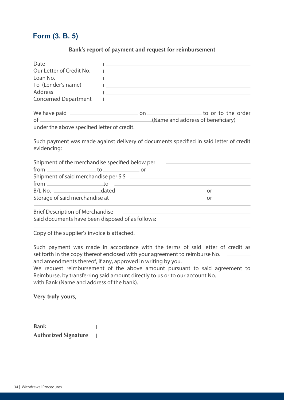#### **Form (3. B. 5)**

#### **Bank's report of payment and request for reimbursement**

| Date                                                                                                                                                                                                                           | <u> 1980 - Jan Barbara (j. 1980)</u>                                                      |  |
|--------------------------------------------------------------------------------------------------------------------------------------------------------------------------------------------------------------------------------|-------------------------------------------------------------------------------------------|--|
| Our Letter of Credit No.                                                                                                                                                                                                       | the control of the control of the control of the control of the control of the control of |  |
| Loan No.                                                                                                                                                                                                                       | <u> 1989 - Johann Stein, mars an deus Amerikaansk kommunister (</u>                       |  |
| To (Lender's name)                                                                                                                                                                                                             | the control of the control of the control of the control of the control of the control of |  |
| Address                                                                                                                                                                                                                        | <u> 1986 - Johann John Stein, marwolaethau (b. 1986)</u>                                  |  |
| Concerned Department                                                                                                                                                                                                           | the control of the control of the control of the control of the control of the control of |  |
| We have paid <u>example and contract of the set of</u> the order of the order<br>$of$ $\overline{\phantom{a}}$                                                                                                                 | (Name and address of beneficiary)                                                         |  |
| under the above specified letter of credit.                                                                                                                                                                                    |                                                                                           |  |
| Such payment was made against delivery of documents specified in said letter of credit<br>evidencing:                                                                                                                          |                                                                                           |  |
| Shipment of the merchandise specified below per ________________________________<br>$\mathsf{from} \hspace{0.5cm} \mathsf{to} \hspace{0.5cm} \mathsf{or} \hspace{0.5cm} \mathsf{}$                                             |                                                                                           |  |
|                                                                                                                                                                                                                                |                                                                                           |  |
| from to to the contract of the contract of the contract of the contract of the contract of the contract of the contract of the contract of the contract of the contract of the contract of the contract of the contract of the |                                                                                           |  |
|                                                                                                                                                                                                                                |                                                                                           |  |
|                                                                                                                                                                                                                                |                                                                                           |  |
|                                                                                                                                                                                                                                |                                                                                           |  |
| <b>Brief Description of Merchandise</b>                                                                                                                                                                                        | <u> 1980 - John Stein, Amerikaansk politiker (</u>                                        |  |
| Said documents have been disposed of as follows:                                                                                                                                                                               |                                                                                           |  |
|                                                                                                                                                                                                                                |                                                                                           |  |

Copy of the supplier's invoice is attached.

Such payment was made in accordance with the terms of said letter of credit as set forth in the copy thereof enclosed with your agreement to reimburse No. and amendments thereof, if any, approved in writing by you.

We request reimbursement of the above amount pursuant to said agreement to Reimburse, by transferring said amount directly to us or to our account No. with Bank (Name and address of the bank).

**Very truly yours,**

| <b>Bank</b>                 |  |
|-----------------------------|--|
| <b>Authorized Signature</b> |  |